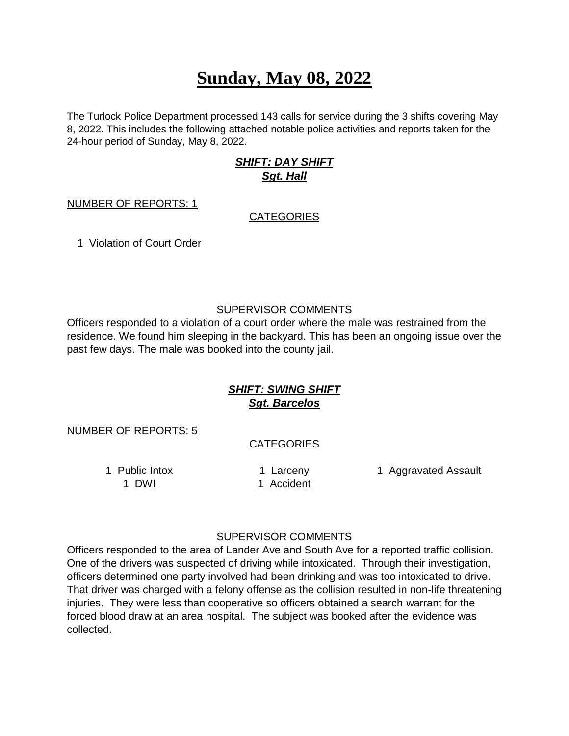# **Sunday, May 08, 2022**

The Turlock Police Department processed 143 calls for service during the 3 shifts covering May 8, 2022. This includes the following attached notable police activities and reports taken for the 24-hour period of Sunday, May 8, 2022.

## *SHIFT: DAY SHIFT Sgt. Hall*

#### NUMBER OF REPORTS: 1

### **CATEGORIES**

1 Violation of Court Order

## SUPERVISOR COMMENTS

Officers responded to a violation of a court order where the male was restrained from the residence. We found him sleeping in the backyard. This has been an ongoing issue over the past few days. The male was booked into the county jail.

# *SHIFT: SWING SHIFT Sgt. Barcelos*

NUMBER OF REPORTS: 5

## **CATEGORIES**

1 DWI 1 Accident

1 Public Intox **1 Larceny** 1 Aggravated Assault

### SUPERVISOR COMMENTS

Officers responded to the area of Lander Ave and South Ave for a reported traffic collision. One of the drivers was suspected of driving while intoxicated. Through their investigation, officers determined one party involved had been drinking and was too intoxicated to drive. That driver was charged with a felony offense as the collision resulted in non-life threatening injuries. They were less than cooperative so officers obtained a search warrant for the forced blood draw at an area hospital. The subject was booked after the evidence was collected.